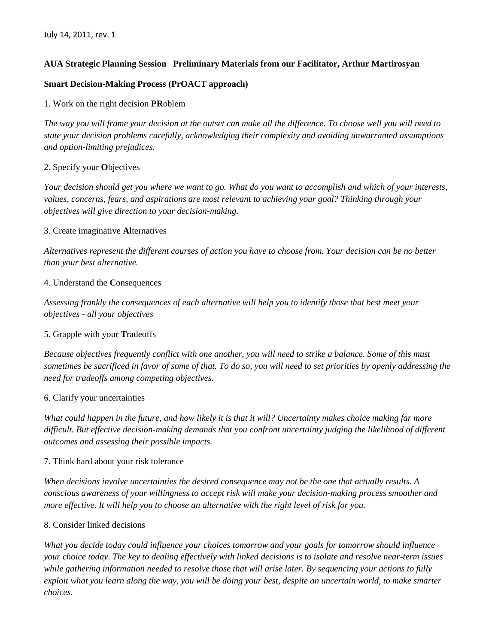# **AUA Strategic Planning Session Preliminary Materials from our Facilitator, Arthur Martirosyan**

## **Smart Decision-Making Process (PrOACT approach)**

1. Work on the right decision **PR**oblem

*The way you will frame your decision at the outset can make all the difference. To choose well you will need to state your decision problems carefully, acknowledging their complexity and avoiding unwarranted assumptions and option-limiting prejudices.* 

## 2. Specify your **O**bjectives

*Your decision should get you where we want to go. What do you want to accomplish and which of your interests, values, concerns, fears, and aspirations are most relevant to achieving your goal? Thinking through your objectives will give direction to your decision-making.* 

## 3. Create imaginative **A**lternatives

*Alternatives represent the different courses of action you have to choose from. Your decision can be no better than your best alternative.* 

## 4. Understand the **C**onsequences

*Assessing frankly the consequences of each alternative will help you to identify those that best meet your objectives - all your objectives*

### 5. Grapple with your **T**radeoffs

*Because objectives frequently conflict with one another, you will need to strike a balance. Some of this must sometimes be sacrificed in favor of some of that. To do so, you will need to set priorities by openly addressing the need for tradeoffs among competing objectives.* 

### 6. Clarify your uncertainties

*What could happen in the future, and how likely it is that it will? Uncertainty makes choice making far more difficult. But effective decision-making demands that you confront uncertainty judging the likelihood of different outcomes and assessing their possible impacts.* 

### 7. Think hard about your risk tolerance

*When decisions involve uncertainties the desired consequence may not be the one that actually results. A conscious awareness of your willingness to accept risk will make your decision-making process smoother and more effective. It will help you to choose an alternative with the right level of risk for you.* 

### 8. Consider linked decisions

*What you decide today could influence your choices tomorrow and your goals for tomorrow should influence your choice today. The key to dealing effectively with linked decisions is to isolate and resolve near-term issues while gathering information needed to resolve those that will arise later. By sequencing your actions to fully exploit what you learn along the way, you will be doing your best, despite an uncertain world, to make smarter choices.*